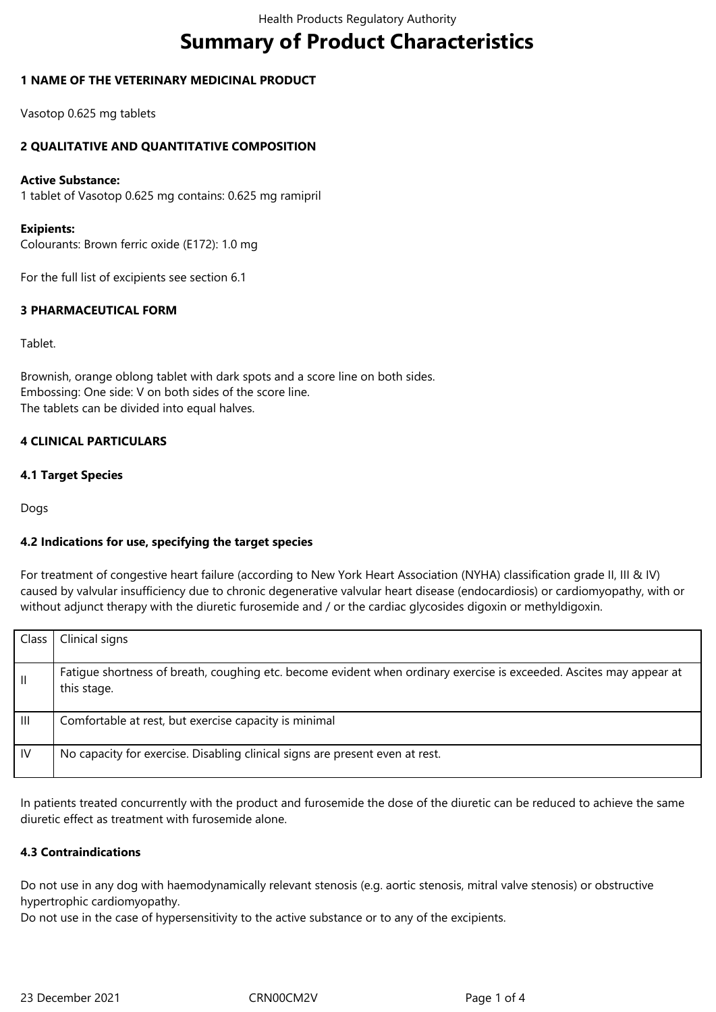# **Summary of Product Characteristics**

## **1 NAME OF THE VETERINARY MEDICINAL PRODUCT**

Vasotop 0.625 mg tablets

### **2 QUALITATIVE AND QUANTITATIVE COMPOSITION**

#### **Active Substance:**

1 tablet of Vasotop 0.625 mg contains: 0.625 mg ramipril

#### **Exipients:**

Colourants: Brown ferric oxide (E172): 1.0 mg

For the full list of excipients see section 6.1

### **3 PHARMACEUTICAL FORM**

Tablet.

Brownish, orange oblong tablet with dark spots and a score line on both sides. Embossing: One side: V on both sides of the score line. The tablets can be divided into equal halves.

### **4 CLINICAL PARTICULARS**

#### **4.1 Target Species**

Dogs

# **4.2 Indications for use, specifying the target species**

For treatment of congestive heart failure (according to New York Heart Association (NYHA) classification grade II, III & IV) caused by valvular insufficiency due to chronic degenerative valvular heart disease (endocardiosis) or cardiomyopathy, with or without adjunct therapy with the diuretic furosemide and / or the cardiac glycosides digoxin or methyldigoxin.

| Class        | Clinical signs                                                                                                                     |
|--------------|------------------------------------------------------------------------------------------------------------------------------------|
| $\mathbf{H}$ | Fatigue shortness of breath, coughing etc. become evident when ordinary exercise is exceeded. Ascites may appear at<br>this stage. |
| Ш            | Comfortable at rest, but exercise capacity is minimal                                                                              |
| <b>IV</b>    | No capacity for exercise. Disabling clinical signs are present even at rest.                                                       |

In patients treated concurrently with the product and furosemide the dose of the diuretic can be reduced to achieve the same diuretic effect as treatment with furosemide alone.

#### **4.3 Contraindications**

Do not use in any dog with haemodynamically relevant stenosis (e.g. aortic stenosis, mitral valve stenosis) or obstructive hypertrophic cardiomyopathy.

Do not use in the case of hypersensitivity to the active substance or to any of the excipients.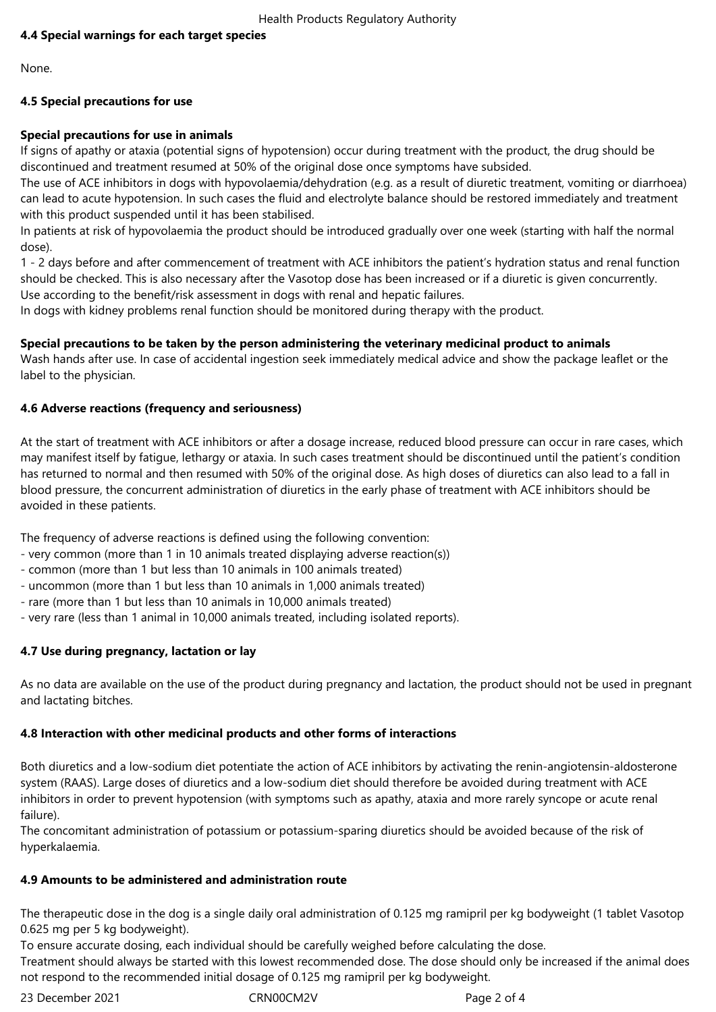# **4.4 Special warnings for each target species**

None.

# **4.5 Special precautions for use**

# **Special precautions for use in animals**

If signs of apathy or ataxia (potential signs of hypotension) occur during treatment with the product, the drug should be discontinued and treatment resumed at 50% of the original dose once symptoms have subsided.

The use of ACE inhibitors in dogs with hypovolaemia/dehydration (e.g. as a result of diuretic treatment, vomiting or diarrhoea) can lead to acute hypotension. In such cases the fluid and electrolyte balance should be restored immediately and treatment with this product suspended until it has been stabilised.

In patients at risk of hypovolaemia the product should be introduced gradually over one week (starting with half the normal dose).

1 - 2 days before and after commencement of treatment with ACE inhibitors the patient's hydration status and renal function should be checked. This is also necessary after the Vasotop dose has been increased or if a diuretic is given concurrently. Use according to the benefit/risk assessment in dogs with renal and hepatic failures.

In dogs with kidney problems renal function should be monitored during therapy with the product.

# **Special precautions to be taken by the person administering the veterinary medicinal product to animals**

Wash hands after use. In case of accidental ingestion seek immediately medical advice and show the package leaflet or the label to the physician.

# **4.6 Adverse reactions (frequency and seriousness)**

At the start of treatment with ACE inhibitors or after a dosage increase, reduced blood pressure can occur in rare cases, which may manifest itself by fatigue, lethargy or ataxia. In such cases treatment should be discontinued until the patient's condition has returned to normal and then resumed with 50% of the original dose. As high doses of diuretics can also lead to a fall in blood pressure, the concurrent administration of diuretics in the early phase of treatment with ACE inhibitors should be avoided in these patients.

The frequency of adverse reactions is defined using the following convention:

- very common (more than 1 in 10 animals treated displaying adverse reaction(s))
- common (more than 1 but less than 10 animals in 100 animals treated)
- uncommon (more than 1 but less than 10 animals in 1,000 animals treated)
- rare (more than 1 but less than 10 animals in 10,000 animals treated)
- very rare (less than 1 animal in 10,000 animals treated, including isolated reports).

# **4.7 Use during pregnancy, lactation or lay**

As no data are available on the use of the product during pregnancy and lactation, the product should not be used in pregnant and lactating bitches.

#### **4.8 Interaction with other medicinal products and other forms of interactions**

Both diuretics and a low-sodium diet potentiate the action of ACE inhibitors by activating the renin-angiotensin-aldosterone system (RAAS). Large doses of diuretics and a low-sodium diet should therefore be avoided during treatment with ACE inhibitors in order to prevent hypotension (with symptoms such as apathy, ataxia and more rarely syncope or acute renal failure).

The concomitant administration of potassium or potassium-sparing diuretics should be avoided because of the risk of hyperkalaemia.

# **4.9 Amounts to be administered and administration route**

The therapeutic dose in the dog is a single daily oral administration of 0.125 mg ramipril per kg bodyweight (1 tablet Vasotop 0.625 mg per 5 kg bodyweight).

To ensure accurate dosing, each individual should be carefully weighed before calculating the dose. Treatment should always be started with this lowest recommended dose. The dose should only be increased if the animal does not respond to the recommended initial dosage of 0.125 mg ramipril per kg bodyweight.

23 December 2021 CRN00CM2V Page 2 of 4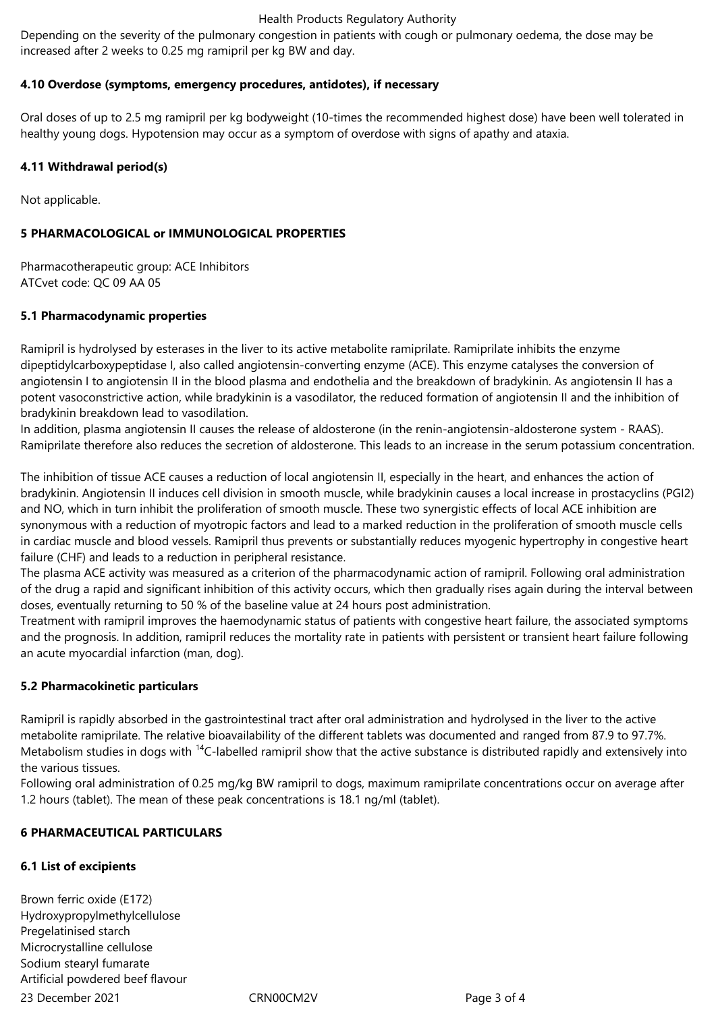#### Health Products Regulatory Authority

Depending on the severity of the pulmonary congestion in patients with cough or pulmonary oedema, the dose may be increased after 2 weeks to 0.25 mg ramipril per kg BW and day.

### **4.10 Overdose (symptoms, emergency procedures, antidotes), if necessary**

Oral doses of up to 2.5 mg ramipril per kg bodyweight (10-times the recommended highest dose) have been well tolerated in healthy young dogs. Hypotension may occur as a symptom of overdose with signs of apathy and ataxia.

### **4.11 Withdrawal period(s)**

Not applicable.

## **5 PHARMACOLOGICAL or IMMUNOLOGICAL PROPERTIES**

Pharmacotherapeutic group: ACE Inhibitors ATCvet code: QC 09 AA 05

### **5.1 Pharmacodynamic properties**

Ramipril is hydrolysed by esterases in the liver to its active metabolite ramiprilate. Ramiprilate inhibits the enzyme dipeptidylcarboxypeptidase I, also called angiotensin-converting enzyme (ACE). This enzyme catalyses the conversion of angiotensin I to angiotensin II in the blood plasma and endothelia and the breakdown of bradykinin. As angiotensin II has a potent vasoconstrictive action, while bradykinin is a vasodilator, the reduced formation of angiotensin II and the inhibition of bradykinin breakdown lead to vasodilation.

In addition, plasma angiotensin II causes the release of aldosterone (in the renin-angiotensin-aldosterone system - RAAS). Ramiprilate therefore also reduces the secretion of aldosterone. This leads to an increase in the serum potassium concentration.

The inhibition of tissue ACE causes a reduction of local angiotensin II, especially in the heart, and enhances the action of bradykinin. Angiotensin II induces cell division in smooth muscle, while bradykinin causes a local increase in prostacyclins (PGI2) and NO, which in turn inhibit the proliferation of smooth muscle. These two synergistic effects of local ACE inhibition are synonymous with a reduction of myotropic factors and lead to a marked reduction in the proliferation of smooth muscle cells in cardiac muscle and blood vessels. Ramipril thus prevents or substantially reduces myogenic hypertrophy in congestive heart failure (CHF) and leads to a reduction in peripheral resistance.

The plasma ACE activity was measured as a criterion of the pharmacodynamic action of ramipril. Following oral administration of the drug a rapid and significant inhibition of this activity occurs, which then gradually rises again during the interval between doses, eventually returning to 50 % of the baseline value at 24 hours post administration.

Treatment with ramipril improves the haemodynamic status of patients with congestive heart failure, the associated symptoms and the prognosis. In addition, ramipril reduces the mortality rate in patients with persistent or transient heart failure following an acute myocardial infarction (man, dog).

#### **5.2 Pharmacokinetic particulars**

Ramipril is rapidly absorbed in the gastrointestinal tract after oral administration and hydrolysed in the liver to the active metabolite ramiprilate. The relative bioavailability of the different tablets was documented and ranged from 87.9 to 97.7%. Metabolism studies in dogs with <sup>14</sup>C-labelled ramipril show that the active substance is distributed rapidly and extensively into the various tissues.

Following oral administration of 0.25 mg/kg BW ramipril to dogs, maximum ramiprilate concentrations occur on average after 1.2 hours (tablet). The mean of these peak concentrations is 18.1 ng/ml (tablet).

#### **6 PHARMACEUTICAL PARTICULARS**

# **6.1 List of excipients**

23 December 2021 CRN00CM2V Page 3 of 4 Brown ferric oxide (E172) Hydroxypropylmethylcellulose Pregelatinised starch Microcrystalline cellulose Sodium stearyl fumarate Artificial powdered beef flavour